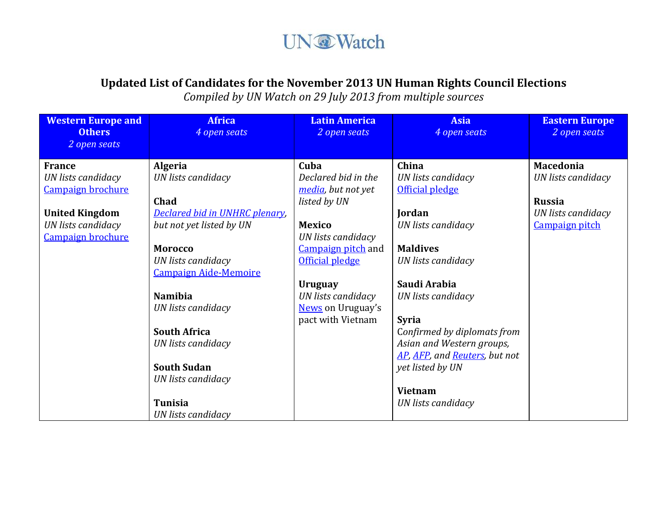## **UN@Watch**

### **Updated List of Candidates for the November 2013 UN Human Rights Council Elections**

*Compiled by UN Watch on 29 July 2013 from multiple sources*

| <b>Western Europe and</b><br><b>Others</b><br>2 open seats | <b>Africa</b><br>4 open seats  | <b>Latin America</b><br>2 open seats | <b>Asia</b><br>4 open seats   | <b>Eastern Europe</b><br>2 open seats |
|------------------------------------------------------------|--------------------------------|--------------------------------------|-------------------------------|---------------------------------------|
|                                                            |                                |                                      |                               |                                       |
| <b>France</b>                                              | <b>Algeria</b>                 | Cuba                                 | China                         | <b>Macedonia</b>                      |
| <b>UN</b> lists candidacy                                  | UN lists candidacy             | Declared bid in the                  | UN lists candidacy            | UN lists candidacy                    |
| Campaign brochure                                          |                                | media, but not yet                   | Official pledge               |                                       |
|                                                            | Chad                           | listed by UN                         |                               | <b>Russia</b>                         |
| <b>United Kingdom</b>                                      | Declared bid in UNHRC plenary, |                                      | Jordan                        | <b>UN</b> lists candidacy             |
| UN lists candidacy                                         | but not yet listed by UN       | <b>Mexico</b>                        | UN lists candidacy            | <b>Campaign pitch</b>                 |
| Campaign brochure                                          |                                | UN lists candidacy                   |                               |                                       |
|                                                            | <b>Morocco</b>                 | Campaign pitch and                   | <b>Maldives</b>               |                                       |
|                                                            | UN lists candidacy             | Official pledge                      | UN lists candidacy            |                                       |
|                                                            | <b>Campaign Aide-Memoire</b>   |                                      |                               |                                       |
|                                                            |                                | <b>Uruguay</b>                       | Saudi Arabia                  |                                       |
|                                                            | <b>Namibia</b>                 | UN lists candidacy                   | UN lists candidacy            |                                       |
|                                                            | <b>UN</b> lists candidacy      | News on Uruguay's                    |                               |                                       |
|                                                            |                                | pact with Vietnam                    | <b>Syria</b>                  |                                       |
|                                                            | <b>South Africa</b>            |                                      | Confirmed by diplomats from   |                                       |
|                                                            | UN lists candidacy             |                                      | Asian and Western groups,     |                                       |
|                                                            |                                |                                      | AP, AFP, and Reuters, but not |                                       |
|                                                            | <b>South Sudan</b>             |                                      | yet listed by UN              |                                       |
|                                                            | UN lists candidacy             |                                      |                               |                                       |
|                                                            |                                |                                      | <b>Vietnam</b>                |                                       |
|                                                            | <b>Tunisia</b>                 |                                      | UN lists candidacy            |                                       |
|                                                            | UN lists candidacy             |                                      |                               |                                       |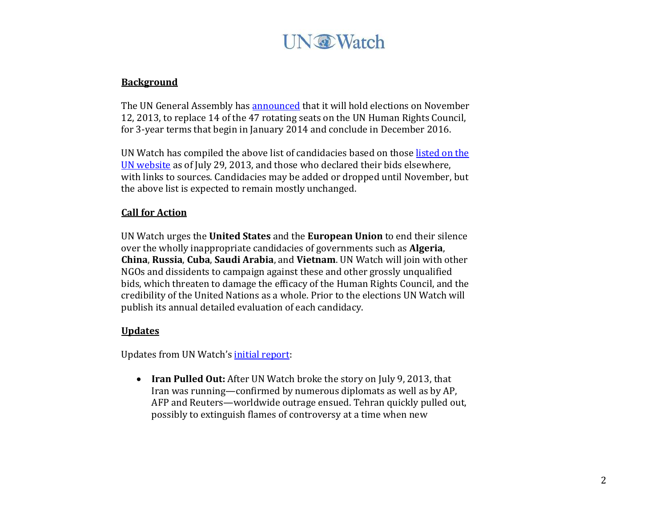# **UN** Watch

#### **Background**

The UN General Assembly has **announced** that it will hold elections on November 12, 2013, to replace 14 of the 47 rotating seats on the UN Human Rights Council, for 3-year terms that begin in January 2014 and conclude in December 2016.

UN Watch has compiled the above list of candidacies based on those listed on the [UN website](http://www.un.org/en/ga/68/meetings/elections/hrc.shtml) as of July 29, 2013, and those who declared their bids elsewhere, with links to sources. Candidacies may be added or dropped until November, but the above list is expected to remain mostly unchanged.

### **Call for Action**

UN Watch urges the **United States** and the **European Union** to end their silence over the wholly inappropriate candidacies of governments such as **Algeria**, **China**, **Russia**, **Cuba**, **Saudi Arabia**, and **Vietnam**. UN Watch will join with other NGOs and dissidents to campaign against these and other grossly unqualified bids, which threaten to damage the efficacy of the Human Rights Council, and the credibility of the United Nations as a whole. Prior to the elections UN Watch will publish its annual detailed evaluation of each candidacy.

### **Updates**

Updates from UN Watch's [initial report:](http://blog.unwatch.org/wp-content/uploads/2014-16-UNHRC-Candidate-Chart.pdf)

 **Iran Pulled Out:** After UN Watch broke the story on July 9, 2013, that Iran was running—confirmed by numerous diplomats as well as by AP, AFP and Reuters—worldwide outrage ensued. Tehran quickly pulled out, possibly to extinguish flames of controversy at a time when new